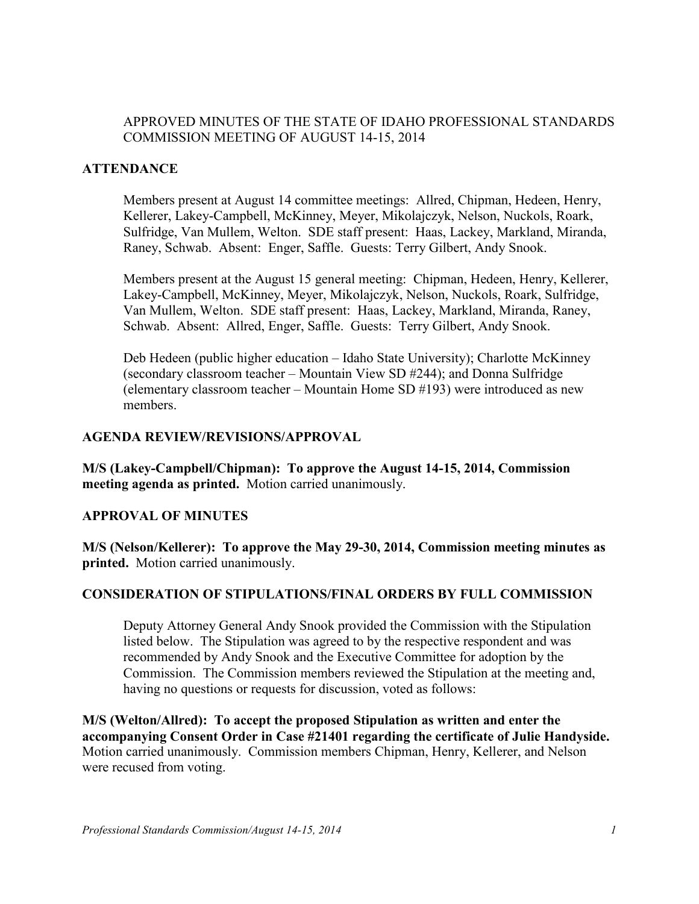# APPROVED MINUTES OF THE STATE OF IDAHO PROFESSIONAL STANDARDS COMMISSION MEETING OF AUGUST 14-15, 2014

### **ATTENDANCE**

Members present at August 14 committee meetings: Allred, Chipman, Hedeen, Henry, Kellerer, Lakey-Campbell, McKinney, Meyer, Mikolajczyk, Nelson, Nuckols, Roark, Sulfridge, Van Mullem, Welton. SDE staff present: Haas, Lackey, Markland, Miranda, Raney, Schwab. Absent: Enger, Saffle. Guests: Terry Gilbert, Andy Snook.

Members present at the August 15 general meeting: Chipman, Hedeen, Henry, Kellerer, Lakey-Campbell, McKinney, Meyer, Mikolajczyk, Nelson, Nuckols, Roark, Sulfridge, Van Mullem, Welton. SDE staff present: Haas, Lackey, Markland, Miranda, Raney, Schwab. Absent: Allred, Enger, Saffle. Guests: Terry Gilbert, Andy Snook.

Deb Hedeen (public higher education – Idaho State University); Charlotte McKinney (secondary classroom teacher – Mountain View SD #244); and Donna Sulfridge (elementary classroom teacher – Mountain Home SD #193) were introduced as new members.

#### **AGENDA REVIEW/REVISIONS/APPROVAL**

**M/S (Lakey-Campbell/Chipman): To approve the August 14-15, 2014, Commission meeting agenda as printed.** Motion carried unanimously.

#### **APPROVAL OF MINUTES**

**M/S (Nelson/Kellerer): To approve the May 29-30, 2014, Commission meeting minutes as printed.** Motion carried unanimously.

### **CONSIDERATION OF STIPULATIONS/FINAL ORDERS BY FULL COMMISSION**

Deputy Attorney General Andy Snook provided the Commission with the Stipulation listed below. The Stipulation was agreed to by the respective respondent and was recommended by Andy Snook and the Executive Committee for adoption by the Commission. The Commission members reviewed the Stipulation at the meeting and, having no questions or requests for discussion, voted as follows:

**M/S (Welton/Allred): To accept the proposed Stipulation as written and enter the accompanying Consent Order in Case #21401 regarding the certificate of Julie Handyside.**  Motion carried unanimously. Commission members Chipman, Henry, Kellerer, and Nelson were recused from voting.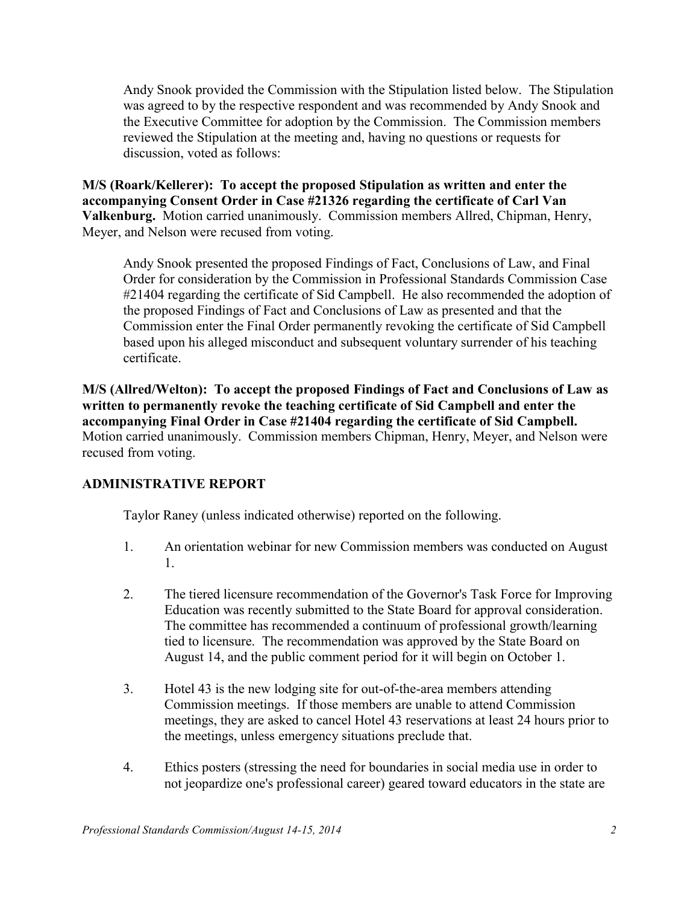Andy Snook provided the Commission with the Stipulation listed below. The Stipulation was agreed to by the respective respondent and was recommended by Andy Snook and the Executive Committee for adoption by the Commission. The Commission members reviewed the Stipulation at the meeting and, having no questions or requests for discussion, voted as follows:

**M/S (Roark/Kellerer): To accept the proposed Stipulation as written and enter the accompanying Consent Order in Case #21326 regarding the certificate of Carl Van Valkenburg.** Motion carried unanimously. Commission members Allred, Chipman, Henry, Meyer, and Nelson were recused from voting.

 Andy Snook presented the proposed Findings of Fact, Conclusions of Law, and Final Order for consideration by the Commission in Professional Standards Commission Case #21404 regarding the certificate of Sid Campbell. He also recommended the adoption of the proposed Findings of Fact and Conclusions of Law as presented and that the Commission enter the Final Order permanently revoking the certificate of Sid Campbell based upon his alleged misconduct and subsequent voluntary surrender of his teaching certificate.

**M/S (Allred/Welton): To accept the proposed Findings of Fact and Conclusions of Law as written to permanently revoke the teaching certificate of Sid Campbell and enter the accompanying Final Order in Case #21404 regarding the certificate of Sid Campbell.**  Motion carried unanimously. Commission members Chipman, Henry, Meyer, and Nelson were recused from voting.

# **ADMINISTRATIVE REPORT**

Taylor Raney (unless indicated otherwise) reported on the following.

- 1. An orientation webinar for new Commission members was conducted on August 1.
- 2. The tiered licensure recommendation of the Governor's Task Force for Improving Education was recently submitted to the State Board for approval consideration. The committee has recommended a continuum of professional growth/learning tied to licensure. The recommendation was approved by the State Board on August 14, and the public comment period for it will begin on October 1.
- 3. Hotel 43 is the new lodging site for out-of-the-area members attending Commission meetings. If those members are unable to attend Commission meetings, they are asked to cancel Hotel 43 reservations at least 24 hours prior to the meetings, unless emergency situations preclude that.
- 4. Ethics posters (stressing the need for boundaries in social media use in order to not jeopardize one's professional career) geared toward educators in the state are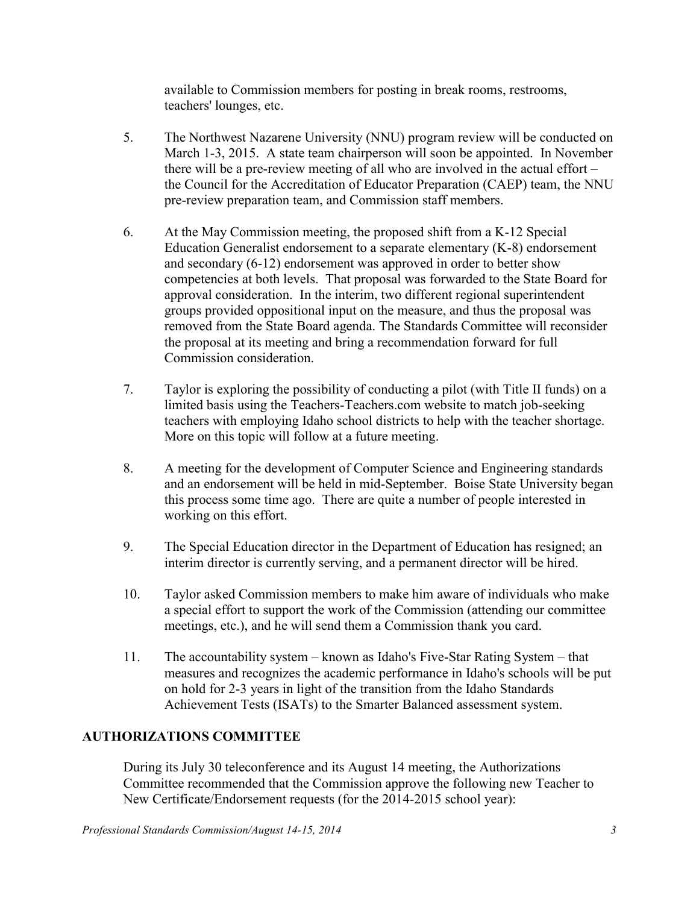available to Commission members for posting in break rooms, restrooms, teachers' lounges, etc.

- 5. The Northwest Nazarene University (NNU) program review will be conducted on March 1-3, 2015. A state team chairperson will soon be appointed. In November there will be a pre-review meeting of all who are involved in the actual effort – the Council for the Accreditation of Educator Preparation (CAEP) team, the NNU pre-review preparation team, and Commission staff members.
- 6. At the May Commission meeting, the proposed shift from a K-12 Special Education Generalist endorsement to a separate elementary (K-8) endorsement and secondary (6-12) endorsement was approved in order to better show competencies at both levels. That proposal was forwarded to the State Board for approval consideration. In the interim, two different regional superintendent groups provided oppositional input on the measure, and thus the proposal was removed from the State Board agenda. The Standards Committee will reconsider the proposal at its meeting and bring a recommendation forward for full Commission consideration.
- 7. Taylor is exploring the possibility of conducting a pilot (with Title II funds) on a limited basis using the Teachers-Teachers.com website to match job-seeking teachers with employing Idaho school districts to help with the teacher shortage. More on this topic will follow at a future meeting.
- 8. A meeting for the development of Computer Science and Engineering standards and an endorsement will be held in mid-September. Boise State University began this process some time ago. There are quite a number of people interested in working on this effort.
- 9. The Special Education director in the Department of Education has resigned; an interim director is currently serving, and a permanent director will be hired.
- 10. Taylor asked Commission members to make him aware of individuals who make a special effort to support the work of the Commission (attending our committee meetings, etc.), and he will send them a Commission thank you card.
- 11. The accountability system known as Idaho's Five-Star Rating System that measures and recognizes the academic performance in Idaho's schools will be put on hold for 2-3 years in light of the transition from the Idaho Standards Achievement Tests (ISATs) to the Smarter Balanced assessment system.

# **AUTHORIZATIONS COMMITTEE**

During its July 30 teleconference and its August 14 meeting, the Authorizations Committee recommended that the Commission approve the following new Teacher to New Certificate/Endorsement requests (for the 2014-2015 school year):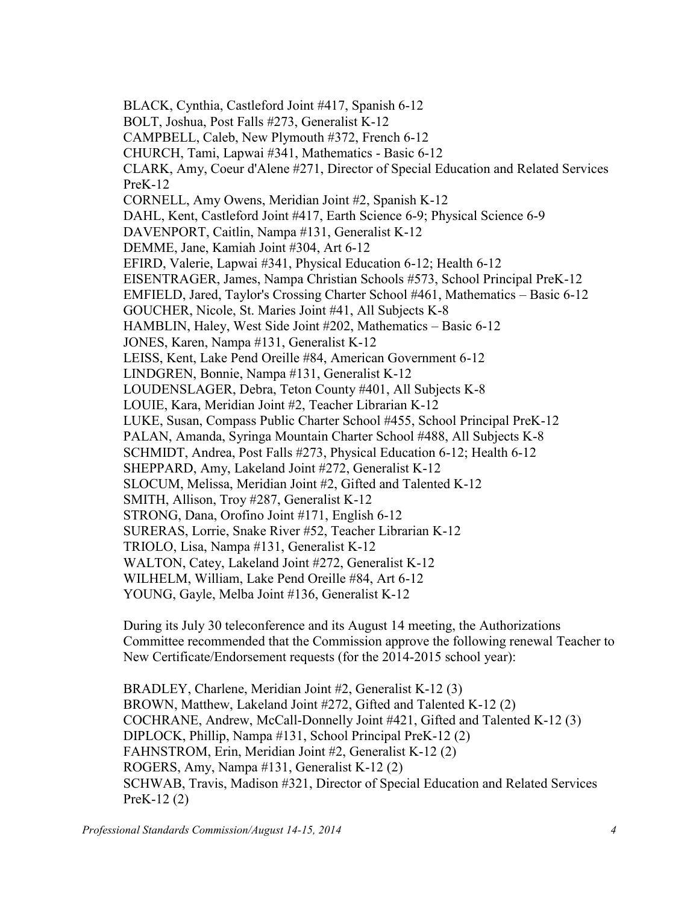BLACK, Cynthia, Castleford Joint #417, Spanish 6-12 BOLT, Joshua, Post Falls #273, Generalist K-12 CAMPBELL, Caleb, New Plymouth #372, French 6-12 CHURCH, Tami, Lapwai #341, Mathematics - Basic 6-12 CLARK, Amy, Coeur d'Alene #271, Director of Special Education and Related Services PreK-12 CORNELL, Amy Owens, Meridian Joint #2, Spanish K-12 DAHL, Kent, Castleford Joint #417, Earth Science 6-9; Physical Science 6-9 DAVENPORT, Caitlin, Nampa #131, Generalist K-12 DEMME, Jane, Kamiah Joint #304, Art 6-12 EFIRD, Valerie, Lapwai #341, Physical Education 6-12; Health 6-12 EISENTRAGER, James, Nampa Christian Schools #573, School Principal PreK-12 EMFIELD, Jared, Taylor's Crossing Charter School #461, Mathematics – Basic 6-12 GOUCHER, Nicole, St. Maries Joint #41, All Subjects K-8 HAMBLIN, Haley, West Side Joint #202, Mathematics – Basic 6-12 JONES, Karen, Nampa #131, Generalist K-12 LEISS, Kent, Lake Pend Oreille #84, American Government 6-12 LINDGREN, Bonnie, Nampa #131, Generalist K-12 LOUDENSLAGER, Debra, Teton County #401, All Subjects K-8 LOUIE, Kara, Meridian Joint #2, Teacher Librarian K-12 LUKE, Susan, Compass Public Charter School #455, School Principal PreK-12 PALAN, Amanda, Syringa Mountain Charter School #488, All Subjects K-8 SCHMIDT, Andrea, Post Falls #273, Physical Education 6-12; Health 6-12 SHEPPARD, Amy, Lakeland Joint #272, Generalist K-12 SLOCUM, Melissa, Meridian Joint #2, Gifted and Talented K-12 SMITH, Allison, Troy #287, Generalist K-12 STRONG, Dana, Orofino Joint #171, English 6-12 SURERAS, Lorrie, Snake River #52, Teacher Librarian K-12 TRIOLO, Lisa, Nampa #131, Generalist K-12 WALTON, Catey, Lakeland Joint #272, Generalist K-12 WILHELM, William, Lake Pend Oreille #84, Art 6-12 YOUNG, Gayle, Melba Joint #136, Generalist K-12

During its July 30 teleconference and its August 14 meeting, the Authorizations Committee recommended that the Commission approve the following renewal Teacher to New Certificate/Endorsement requests (for the 2014-2015 school year):

BRADLEY, Charlene, Meridian Joint #2, Generalist K-12 (3) BROWN, Matthew, Lakeland Joint #272, Gifted and Talented K-12 (2) COCHRANE, Andrew, McCall-Donnelly Joint #421, Gifted and Talented K-12 (3) DIPLOCK, Phillip, Nampa #131, School Principal PreK-12 (2) FAHNSTROM, Erin, Meridian Joint #2, Generalist K-12 (2) ROGERS, Amy, Nampa #131, Generalist K-12 (2) SCHWAB, Travis, Madison #321, Director of Special Education and Related Services PreK-12 (2)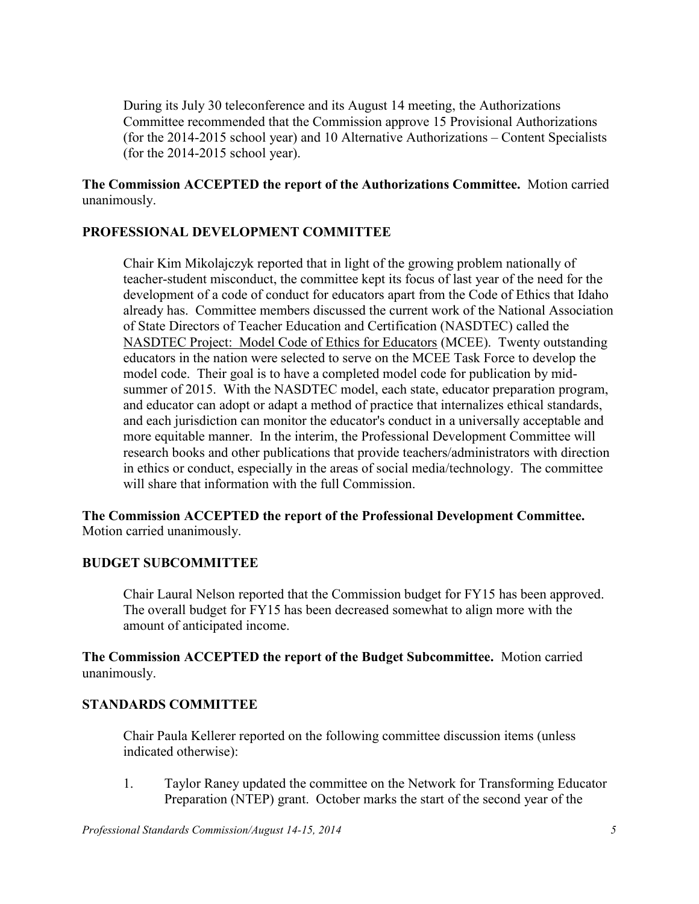During its July 30 teleconference and its August 14 meeting, the Authorizations Committee recommended that the Commission approve 15 Provisional Authorizations (for the 2014-2015 school year) and 10 Alternative Authorizations – Content Specialists (for the 2014-2015 school year).

**The Commission ACCEPTED the report of the Authorizations Committee.** Motion carried unanimously.

# **PROFESSIONAL DEVELOPMENT COMMITTEE**

Chair Kim Mikolajczyk reported that in light of the growing problem nationally of teacher-student misconduct, the committee kept its focus of last year of the need for the development of a code of conduct for educators apart from the Code of Ethics that Idaho already has. Committee members discussed the current work of the National Association of State Directors of Teacher Education and Certification (NASDTEC) called the NASDTEC Project: Model Code of Ethics for Educators (MCEE). Twenty outstanding educators in the nation were selected to serve on the MCEE Task Force to develop the model code. Their goal is to have a completed model code for publication by midsummer of 2015. With the NASDTEC model, each state, educator preparation program, and educator can adopt or adapt a method of practice that internalizes ethical standards, and each jurisdiction can monitor the educator's conduct in a universally acceptable and more equitable manner. In the interim, the Professional Development Committee will research books and other publications that provide teachers/administrators with direction in ethics or conduct, especially in the areas of social media/technology. The committee will share that information with the full Commission

**The Commission ACCEPTED the report of the Professional Development Committee.**  Motion carried unanimously.

# **BUDGET SUBCOMMITTEE**

Chair Laural Nelson reported that the Commission budget for FY15 has been approved. The overall budget for FY15 has been decreased somewhat to align more with the amount of anticipated income.

**The Commission ACCEPTED the report of the Budget Subcommittee.** Motion carried unanimously.

# **STANDARDS COMMITTEE**

Chair Paula Kellerer reported on the following committee discussion items (unless indicated otherwise):

1. Taylor Raney updated the committee on the Network for Transforming Educator Preparation (NTEP) grant. October marks the start of the second year of the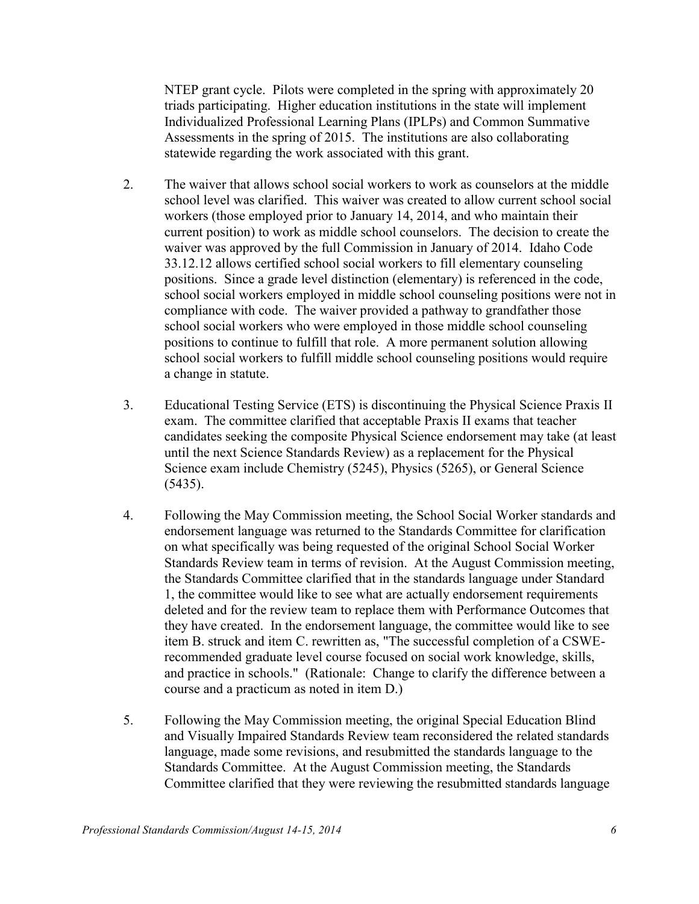NTEP grant cycle. Pilots were completed in the spring with approximately 20 triads participating. Higher education institutions in the state will implement Individualized Professional Learning Plans (IPLPs) and Common Summative Assessments in the spring of 2015. The institutions are also collaborating statewide regarding the work associated with this grant.

- 2. The waiver that allows school social workers to work as counselors at the middle school level was clarified. This waiver was created to allow current school social workers (those employed prior to January 14, 2014, and who maintain their current position) to work as middle school counselors. The decision to create the waiver was approved by the full Commission in January of 2014. Idaho Code 33.12.12 allows certified school social workers to fill elementary counseling positions. Since a grade level distinction (elementary) is referenced in the code, school social workers employed in middle school counseling positions were not in compliance with code. The waiver provided a pathway to grandfather those school social workers who were employed in those middle school counseling positions to continue to fulfill that role. A more permanent solution allowing school social workers to fulfill middle school counseling positions would require a change in statute.
- 3. Educational Testing Service (ETS) is discontinuing the Physical Science Praxis II exam. The committee clarified that acceptable Praxis II exams that teacher candidates seeking the composite Physical Science endorsement may take (at least until the next Science Standards Review) as a replacement for the Physical Science exam include Chemistry (5245), Physics (5265), or General Science (5435).
- 4. Following the May Commission meeting, the School Social Worker standards and endorsement language was returned to the Standards Committee for clarification on what specifically was being requested of the original School Social Worker Standards Review team in terms of revision. At the August Commission meeting, the Standards Committee clarified that in the standards language under Standard 1, the committee would like to see what are actually endorsement requirements deleted and for the review team to replace them with Performance Outcomes that they have created. In the endorsement language, the committee would like to see item B. struck and item C. rewritten as, "The successful completion of a CSWErecommended graduate level course focused on social work knowledge, skills, and practice in schools." (Rationale: Change to clarify the difference between a course and a practicum as noted in item D.)
- 5. Following the May Commission meeting, the original Special Education Blind and Visually Impaired Standards Review team reconsidered the related standards language, made some revisions, and resubmitted the standards language to the Standards Committee. At the August Commission meeting, the Standards Committee clarified that they were reviewing the resubmitted standards language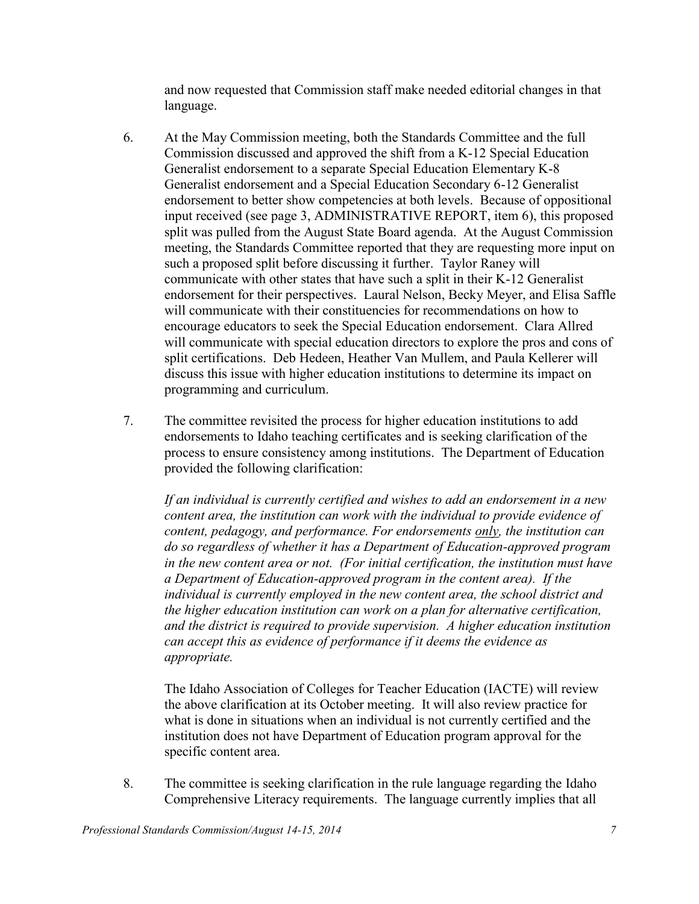and now requested that Commission staff make needed editorial changes in that language.

- 6. At the May Commission meeting, both the Standards Committee and the full Commission discussed and approved the shift from a K-12 Special Education Generalist endorsement to a separate Special Education Elementary K-8 Generalist endorsement and a Special Education Secondary 6-12 Generalist endorsement to better show competencies at both levels. Because of oppositional input received (see page 3, ADMINISTRATIVE REPORT, item 6), this proposed split was pulled from the August State Board agenda. At the August Commission meeting, the Standards Committee reported that they are requesting more input on such a proposed split before discussing it further. Taylor Raney will communicate with other states that have such a split in their K-12 Generalist endorsement for their perspectives. Laural Nelson, Becky Meyer, and Elisa Saffle will communicate with their constituencies for recommendations on how to encourage educators to seek the Special Education endorsement. Clara Allred will communicate with special education directors to explore the pros and cons of split certifications. Deb Hedeen, Heather Van Mullem, and Paula Kellerer will discuss this issue with higher education institutions to determine its impact on programming and curriculum.
- 7. The committee revisited the process for higher education institutions to add endorsements to Idaho teaching certificates and is seeking clarification of the process to ensure consistency among institutions. The Department of Education provided the following clarification:

*If an individual is currently certified and wishes to add an endorsement in a new content area, the institution can work with the individual to provide evidence of content, pedagogy, and performance. For endorsements only, the institution can do so regardless of whether it has a Department of Education-approved program in the new content area or not. (For initial certification, the institution must have a Department of Education-approved program in the content area). If the individual is currently employed in the new content area, the school district and the higher education institution can work on a plan for alternative certification, and the district is required to provide supervision. A higher education institution can accept this as evidence of performance if it deems the evidence as appropriate.* 

The Idaho Association of Colleges for Teacher Education (IACTE) will review the above clarification at its October meeting. It will also review practice for what is done in situations when an individual is not currently certified and the institution does not have Department of Education program approval for the specific content area.

8. The committee is seeking clarification in the rule language regarding the Idaho Comprehensive Literacy requirements. The language currently implies that all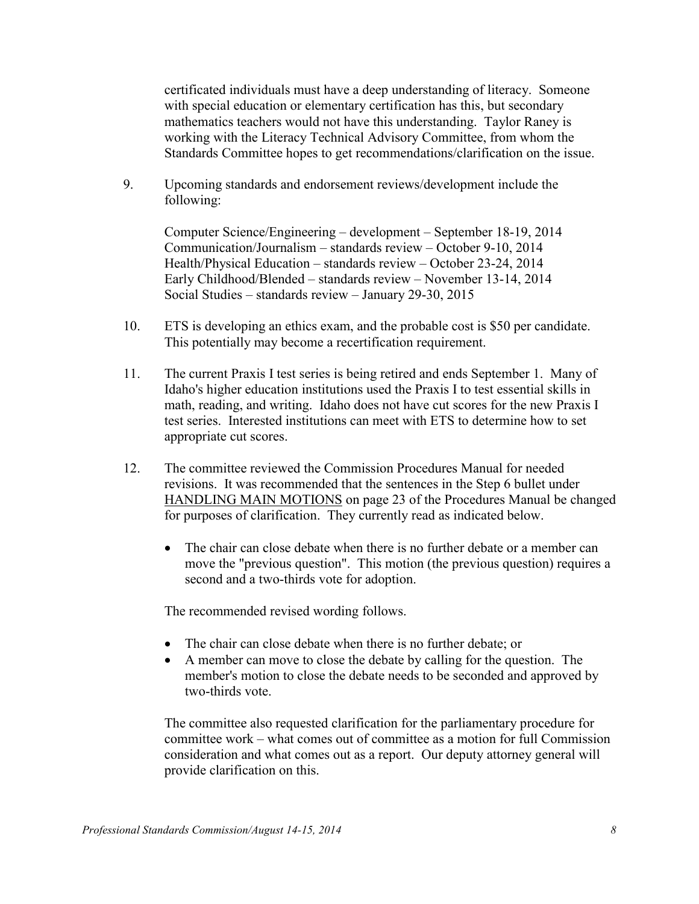certificated individuals must have a deep understanding of literacy. Someone with special education or elementary certification has this, but secondary mathematics teachers would not have this understanding. Taylor Raney is working with the Literacy Technical Advisory Committee, from whom the Standards Committee hopes to get recommendations/clarification on the issue.

9. Upcoming standards and endorsement reviews/development include the following:

Computer Science/Engineering – development – September 18-19, 2014 Communication/Journalism – standards review – October 9-10, 2014 Health/Physical Education – standards review – October 23-24, 2014 Early Childhood/Blended – standards review – November 13-14, 2014 Social Studies – standards review – January 29-30, 2015

- 10. ETS is developing an ethics exam, and the probable cost is \$50 per candidate. This potentially may become a recertification requirement.
- 11. The current Praxis I test series is being retired and ends September 1. Many of Idaho's higher education institutions used the Praxis I to test essential skills in math, reading, and writing. Idaho does not have cut scores for the new Praxis I test series. Interested institutions can meet with ETS to determine how to set appropriate cut scores.
- 12. The committee reviewed the Commission Procedures Manual for needed revisions. It was recommended that the sentences in the Step 6 bullet under HANDLING MAIN MOTIONS on page 23 of the Procedures Manual be changed for purposes of clarification. They currently read as indicated below.
	- The chair can close debate when there is no further debate or a member can move the "previous question". This motion (the previous question) requires a second and a two-thirds vote for adoption.

The recommended revised wording follows.

- The chair can close debate when there is no further debate; or
- A member can move to close the debate by calling for the question. The member's motion to close the debate needs to be seconded and approved by two-thirds vote.

The committee also requested clarification for the parliamentary procedure for committee work – what comes out of committee as a motion for full Commission consideration and what comes out as a report. Our deputy attorney general will provide clarification on this.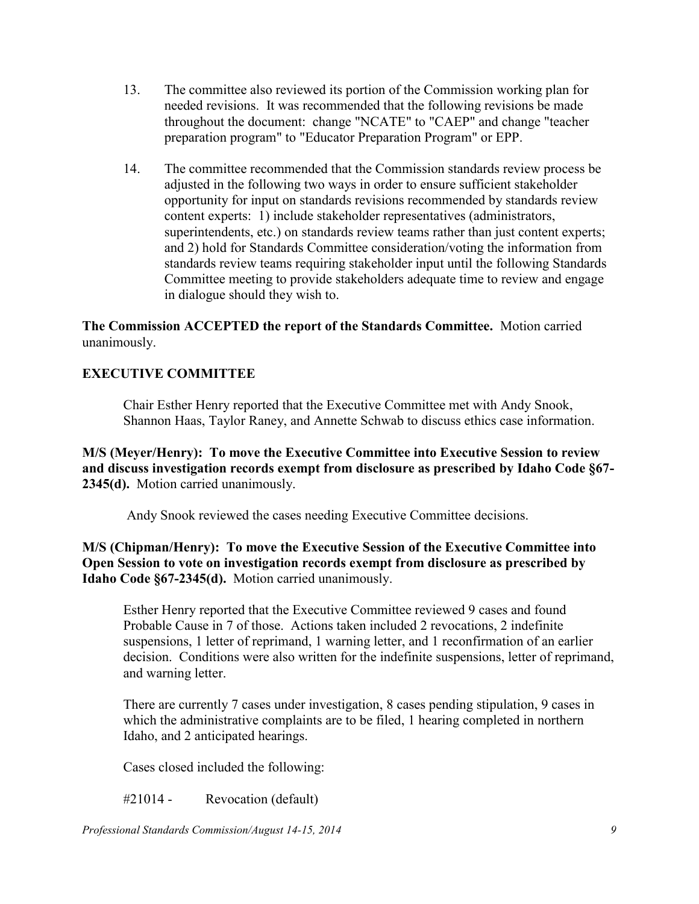- 13. The committee also reviewed its portion of the Commission working plan for needed revisions. It was recommended that the following revisions be made throughout the document: change "NCATE" to "CAEP" and change "teacher preparation program" to "Educator Preparation Program" or EPP.
- 14. The committee recommended that the Commission standards review process be adjusted in the following two ways in order to ensure sufficient stakeholder opportunity for input on standards revisions recommended by standards review content experts: 1) include stakeholder representatives (administrators, superintendents, etc.) on standards review teams rather than just content experts; and 2) hold for Standards Committee consideration/voting the information from standards review teams requiring stakeholder input until the following Standards Committee meeting to provide stakeholders adequate time to review and engage in dialogue should they wish to.

**The Commission ACCEPTED the report of the Standards Committee.** Motion carried unanimously.

# **EXECUTIVE COMMITTEE**

Chair Esther Henry reported that the Executive Committee met with Andy Snook, Shannon Haas, Taylor Raney, and Annette Schwab to discuss ethics case information.

**M/S (Meyer/Henry): To move the Executive Committee into Executive Session to review and discuss investigation records exempt from disclosure as prescribed by Idaho Code §67- 2345(d).** Motion carried unanimously.

Andy Snook reviewed the cases needing Executive Committee decisions.

**M/S (Chipman/Henry): To move the Executive Session of the Executive Committee into Open Session to vote on investigation records exempt from disclosure as prescribed by Idaho Code §67-2345(d).** Motion carried unanimously.

Esther Henry reported that the Executive Committee reviewed 9 cases and found Probable Cause in 7 of those. Actions taken included 2 revocations, 2 indefinite suspensions, 1 letter of reprimand, 1 warning letter, and 1 reconfirmation of an earlier decision. Conditions were also written for the indefinite suspensions, letter of reprimand, and warning letter.

There are currently 7 cases under investigation, 8 cases pending stipulation, 9 cases in which the administrative complaints are to be filed, 1 hearing completed in northern Idaho, and 2 anticipated hearings.

Cases closed included the following:

#21014 - Revocation (default)

*Professional Standards Commission/August 14-15, 2014 9*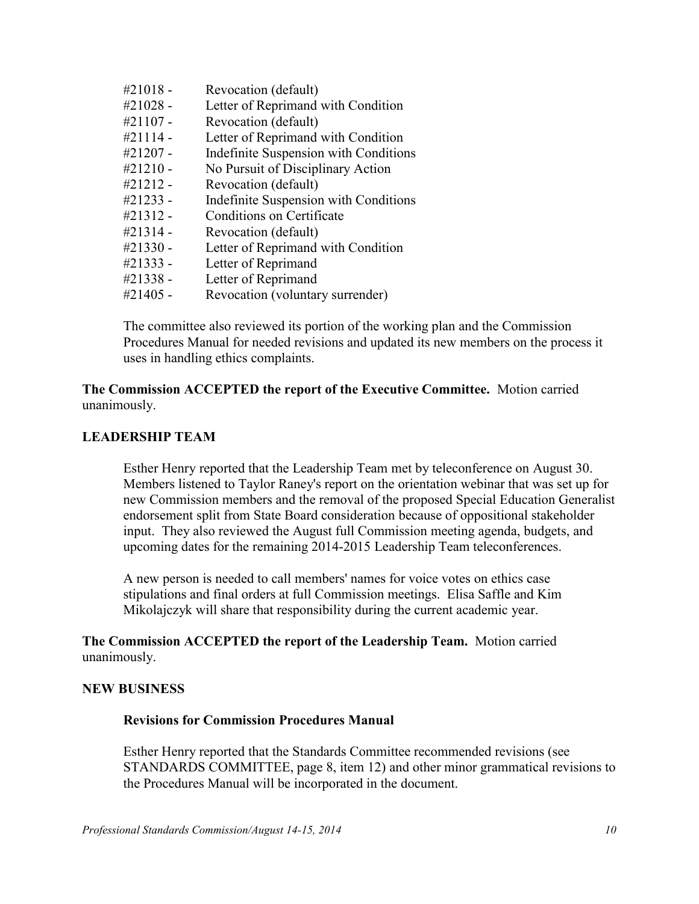| #21018 -    | Revocation (default)                  |
|-------------|---------------------------------------|
| #21028 -    | Letter of Reprimand with Condition    |
| #21107 -    | Revocation (default)                  |
| #21114 -    | Letter of Reprimand with Condition    |
| $\#21207 -$ | Indefinite Suspension with Conditions |
| $\#21210 -$ | No Pursuit of Disciplinary Action     |
| #21212 -    | Revocation (default)                  |
| #21233 -    | Indefinite Suspension with Conditions |
| #21312 -    | Conditions on Certificate             |
| #21314 -    | Revocation (default)                  |
| #21330 -    | Letter of Reprimand with Condition    |
| #21333 -    | Letter of Reprimand                   |
| #21338 -    | Letter of Reprimand                   |
| #21405 -    | Revocation (voluntary surrender)      |

The committee also reviewed its portion of the working plan and the Commission Procedures Manual for needed revisions and updated its new members on the process it uses in handling ethics complaints.

**The Commission ACCEPTED the report of the Executive Committee.** Motion carried unanimously.

#### **LEADERSHIP TEAM**

Esther Henry reported that the Leadership Team met by teleconference on August 30. Members listened to Taylor Raney's report on the orientation webinar that was set up for new Commission members and the removal of the proposed Special Education Generalist endorsement split from State Board consideration because of oppositional stakeholder input. They also reviewed the August full Commission meeting agenda, budgets, and upcoming dates for the remaining 2014-2015 Leadership Team teleconferences.

A new person is needed to call members' names for voice votes on ethics case stipulations and final orders at full Commission meetings. Elisa Saffle and Kim Mikolajczyk will share that responsibility during the current academic year.

**The Commission ACCEPTED the report of the Leadership Team.** Motion carried unanimously.

#### **NEW BUSINESS**

#### **Revisions for Commission Procedures Manual**

Esther Henry reported that the Standards Committee recommended revisions (see STANDARDS COMMITTEE, page 8, item 12) and other minor grammatical revisions to the Procedures Manual will be incorporated in the document.